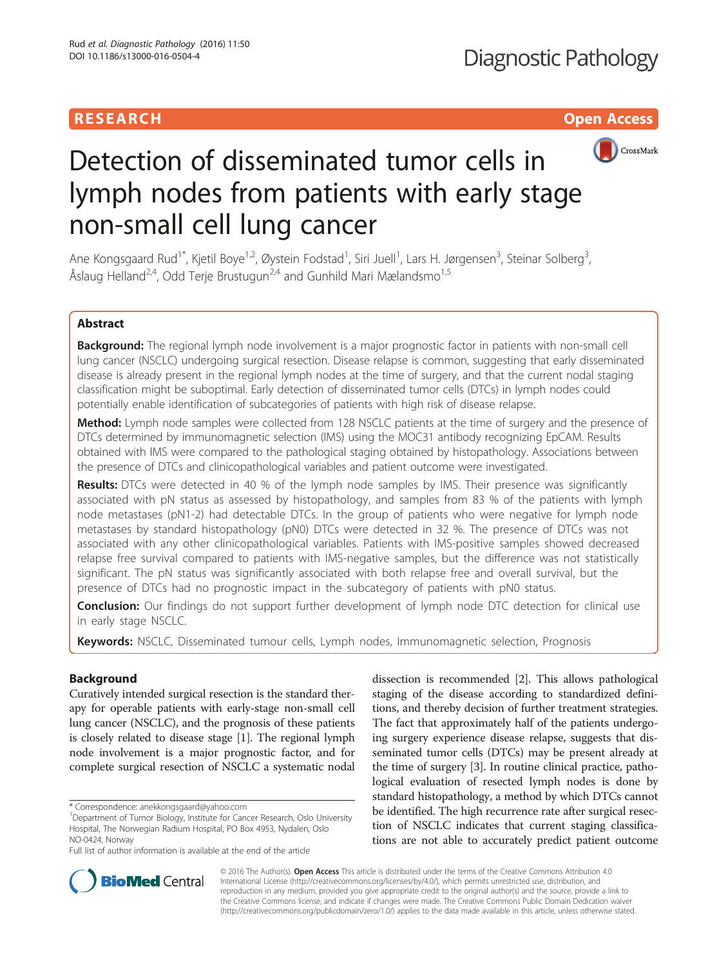# RESEARCH **RESEARCH CHOOSE ACCESS**



# Detection of disseminated tumor cells in lymph nodes from patients with early stage non-small cell lung cancer

Ane Kongsgaard Rud<sup>1\*</sup>, Kjetil Boye<sup>1,2</sup>, Øystein Fodstad<sup>1</sup>, Siri Juell<sup>1</sup>, Lars H. Jørgensen<sup>3</sup>, Steinar Solberg<sup>3</sup> , Åslaug Helland<sup>2,4</sup>, Odd Terje Brustugun<sup>2,4</sup> and Gunhild Mari Mælandsmo<sup>1,5</sup>

## Abstract

Background: The regional lymph node involvement is a major prognostic factor in patients with non-small cell lung cancer (NSCLC) undergoing surgical resection. Disease relapse is common, suggesting that early disseminated disease is already present in the regional lymph nodes at the time of surgery, and that the current nodal staging classification might be suboptimal. Early detection of disseminated tumor cells (DTCs) in lymph nodes could potentially enable identification of subcategories of patients with high risk of disease relapse.

Method: Lymph node samples were collected from 128 NSCLC patients at the time of surgery and the presence of DTCs determined by immunomagnetic selection (IMS) using the MOC31 antibody recognizing EpCAM. Results obtained with IMS were compared to the pathological staging obtained by histopathology. Associations between the presence of DTCs and clinicopathological variables and patient outcome were investigated.

Results: DTCs were detected in 40 % of the lymph node samples by IMS. Their presence was significantly associated with pN status as assessed by histopathology, and samples from 83 % of the patients with lymph node metastases (pN1-2) had detectable DTCs. In the group of patients who were negative for lymph node metastases by standard histopathology (pN0) DTCs were detected in 32 %. The presence of DTCs was not associated with any other clinicopathological variables. Patients with IMS-positive samples showed decreased relapse free survival compared to patients with IMS-negative samples, but the difference was not statistically significant. The pN status was significantly associated with both relapse free and overall survival, but the presence of DTCs had no prognostic impact in the subcategory of patients with pN0 status.

**Conclusion:** Our findings do not support further development of lymph node DTC detection for clinical use in early stage NSCLC.

Keywords: NSCLC, Disseminated tumour cells, Lymph nodes, Immunomagnetic selection, Prognosis

## Background

Curatively intended surgical resection is the standard therapy for operable patients with early-stage non-small cell lung cancer (NSCLC), and the prognosis of these patients is closely related to disease stage [[1\]](#page-6-0). The regional lymph node involvement is a major prognostic factor, and for complete surgical resection of NSCLC a systematic nodal

dissection is recommended [\[2](#page-6-0)]. This allows pathological staging of the disease according to standardized definitions, and thereby decision of further treatment strategies. The fact that approximately half of the patients undergoing surgery experience disease relapse, suggests that disseminated tumor cells (DTCs) may be present already at the time of surgery [[3\]](#page-6-0). In routine clinical practice, pathological evaluation of resected lymph nodes is done by standard histopathology, a method by which DTCs cannot be identified. The high recurrence rate after surgical resection of NSCLC indicates that current staging classifications are not able to accurately predict patient outcome



© 2016 The Author(s). Open Access This article is distributed under the terms of the Creative Commons Attribution 4.0 International License [\(http://creativecommons.org/licenses/by/4.0/](http://creativecommons.org/licenses/by/4.0/)), which permits unrestricted use, distribution, and reproduction in any medium, provided you give appropriate credit to the original author(s) and the source, provide a link to the Creative Commons license, and indicate if changes were made. The Creative Commons Public Domain Dedication waiver [\(http://creativecommons.org/publicdomain/zero/1.0/](http://creativecommons.org/publicdomain/zero/1.0/)) applies to the data made available in this article, unless otherwise stated.

<sup>\*</sup> Correspondence: [anekkongsgaard@yahoo.com](mailto:anekkongsgaard@yahoo.com) <sup>1</sup>

<sup>&</sup>lt;sup>1</sup>Department of Tumor Biology, Institute for Cancer Research, Oslo University Hospital, The Norwegian Radium Hospital, PO Box 4953, Nydalen, Oslo NO-0424, Norway

Full list of author information is available at the end of the article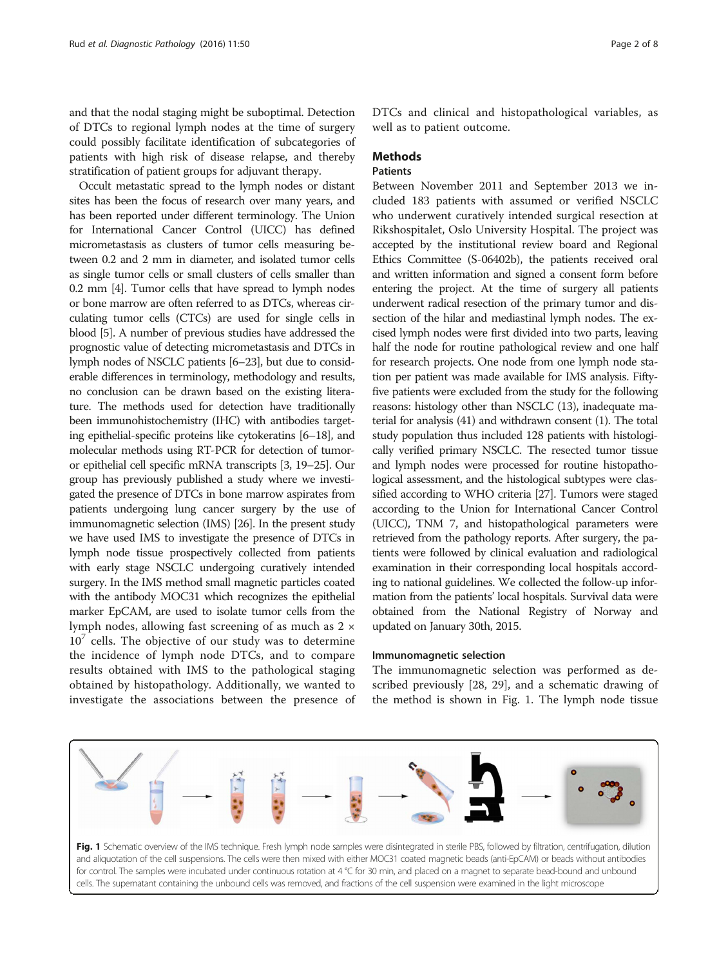and that the nodal staging might be suboptimal. Detection of DTCs to regional lymph nodes at the time of surgery could possibly facilitate identification of subcategories of patients with high risk of disease relapse, and thereby stratification of patient groups for adjuvant therapy.

Occult metastatic spread to the lymph nodes or distant sites has been the focus of research over many years, and has been reported under different terminology. The Union for International Cancer Control (UICC) has defined micrometastasis as clusters of tumor cells measuring between 0.2 and 2 mm in diameter, and isolated tumor cells as single tumor cells or small clusters of cells smaller than 0.2 mm [\[4\]](#page-6-0). Tumor cells that have spread to lymph nodes or bone marrow are often referred to as DTCs, whereas circulating tumor cells (CTCs) are used for single cells in blood [[5](#page-6-0)]. A number of previous studies have addressed the prognostic value of detecting micrometastasis and DTCs in lymph nodes of NSCLC patients [\[6](#page-6-0)–[23](#page-7-0)], but due to considerable differences in terminology, methodology and results, no conclusion can be drawn based on the existing literature. The methods used for detection have traditionally been immunohistochemistry (IHC) with antibodies targeting epithelial-specific proteins like cytokeratins [\[6](#page-6-0)–[18\]](#page-7-0), and molecular methods using RT-PCR for detection of tumoror epithelial cell specific mRNA transcripts [\[3,](#page-6-0) [19](#page-7-0)–[25](#page-7-0)]. Our group has previously published a study where we investigated the presence of DTCs in bone marrow aspirates from patients undergoing lung cancer surgery by the use of immunomagnetic selection (IMS) [\[26\]](#page-7-0). In the present study we have used IMS to investigate the presence of DTCs in lymph node tissue prospectively collected from patients with early stage NSCLC undergoing curatively intended surgery. In the IMS method small magnetic particles coated with the antibody MOC31 which recognizes the epithelial marker EpCAM, are used to isolate tumor cells from the lymph nodes, allowing fast screening of as much as 2 ×  $10<sup>7</sup>$  cells. The objective of our study was to determine the incidence of lymph node DTCs, and to compare results obtained with IMS to the pathological staging obtained by histopathology. Additionally, we wanted to investigate the associations between the presence of

DTCs and clinical and histopathological variables, as well as to patient outcome.

## Methods

## Patients

Between November 2011 and September 2013 we included 183 patients with assumed or verified NSCLC who underwent curatively intended surgical resection at Rikshospitalet, Oslo University Hospital. The project was accepted by the institutional review board and Regional Ethics Committee (S-06402b), the patients received oral and written information and signed a consent form before entering the project. At the time of surgery all patients underwent radical resection of the primary tumor and dissection of the hilar and mediastinal lymph nodes. The excised lymph nodes were first divided into two parts, leaving half the node for routine pathological review and one half for research projects. One node from one lymph node station per patient was made available for IMS analysis. Fiftyfive patients were excluded from the study for the following reasons: histology other than NSCLC (13), inadequate material for analysis (41) and withdrawn consent (1). The total study population thus included 128 patients with histologically verified primary NSCLC. The resected tumor tissue and lymph nodes were processed for routine histopathological assessment, and the histological subtypes were classified according to WHO criteria [[27](#page-7-0)]. Tumors were staged according to the Union for International Cancer Control (UICC), TNM 7, and histopathological parameters were retrieved from the pathology reports. After surgery, the patients were followed by clinical evaluation and radiological examination in their corresponding local hospitals according to national guidelines. We collected the follow-up information from the patients' local hospitals. Survival data were obtained from the National Registry of Norway and updated on January 30th, 2015.

#### Immunomagnetic selection

The immunomagnetic selection was performed as described previously [[28](#page-7-0), [29](#page-7-0)], and a schematic drawing of the method is shown in Fig. 1. The lymph node tissue

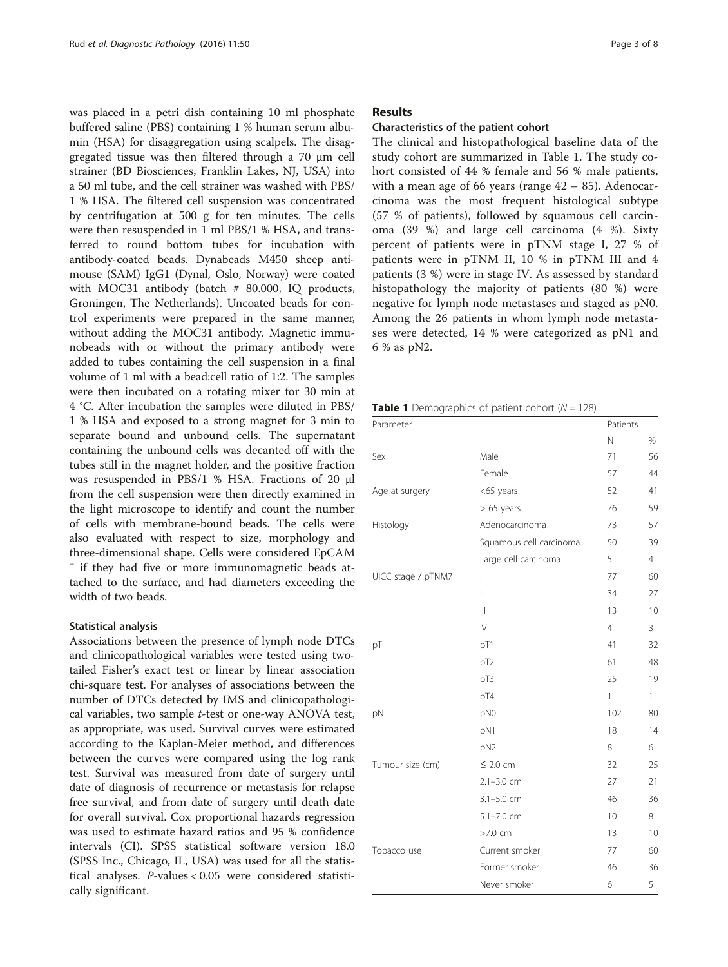was placed in a petri dish containing 10 ml phosphate buffered saline (PBS) containing 1 % human serum albumin (HSA) for disaggregation using scalpels. The disaggregated tissue was then filtered through a 70 μm cell strainer (BD Biosciences, Franklin Lakes, NJ, USA) into a 50 ml tube, and the cell strainer was washed with PBS/ 1 % HSA. The filtered cell suspension was concentrated by centrifugation at 500 g for ten minutes. The cells were then resuspended in 1 ml PBS/1 % HSA, and transferred to round bottom tubes for incubation with antibody-coated beads. Dynabeads M450 sheep antimouse (SAM) IgG1 (Dynal, Oslo, Norway) were coated with MOC31 antibody (batch # 80.000, IQ products, Groningen, The Netherlands). Uncoated beads for control experiments were prepared in the same manner, without adding the MOC31 antibody. Magnetic immunobeads with or without the primary antibody were added to tubes containing the cell suspension in a final volume of 1 ml with a bead:cell ratio of 1:2. The samples were then incubated on a rotating mixer for 30 min at 4 °C. After incubation the samples were diluted in PBS/ 1 % HSA and exposed to a strong magnet for 3 min to separate bound and unbound cells. The supernatant containing the unbound cells was decanted off with the tubes still in the magnet holder, and the positive fraction was resuspended in PBS/1 % HSA. Fractions of 20 μl from the cell suspension were then directly examined in the light microscope to identify and count the number of cells with membrane-bound beads. The cells were also evaluated with respect to size, morphology and three-dimensional shape. Cells were considered EpCAM <sup>+</sup> if they had five or more immunomagnetic beads attached to the surface, and had diameters exceeding the width of two beads.

## Statistical analysis

Associations between the presence of lymph node DTCs and clinicopathological variables were tested using twotailed Fisher's exact test or linear by linear association chi-square test. For analyses of associations between the number of DTCs detected by IMS and clinicopathological variables, two sample t-test or one-way ANOVA test, as appropriate, was used. Survival curves were estimated according to the Kaplan-Meier method, and differences between the curves were compared using the log rank test. Survival was measured from date of surgery until date of diagnosis of recurrence or metastasis for relapse free survival, and from date of surgery until death date for overall survival. Cox proportional hazards regression was used to estimate hazard ratios and 95 % confidence intervals (CI). SPSS statistical software version 18.0 (SPSS Inc., Chicago, IL, USA) was used for all the statistical analyses. P-values < 0.05 were considered statistically significant.

## Results

### Characteristics of the patient cohort

The clinical and histopathological baseline data of the study cohort are summarized in Table 1. The study cohort consisted of 44 % female and 56 % male patients, with a mean age of 66 years (range 42 – 85). Adenocarcinoma was the most frequent histological subtype (57 % of patients), followed by squamous cell carcinoma (39 %) and large cell carcinoma (4 %). Sixty percent of patients were in pTNM stage I, 27 % of patients were in pTNM II, 10 % in pTNM III and 4 patients (3 %) were in stage IV. As assessed by standard histopathology the majority of patients (80 %) were negative for lymph node metastases and staged as pN0. Among the 26 patients in whom lymph node metastases were detected, 14 % were categorized as pN1 and 6 % as pN2.

#### **Table 1** Demographics of patient cohort ( $N = 128$ )

| Parameter          |                          | Patients       |                |
|--------------------|--------------------------|----------------|----------------|
|                    |                          | N              | %              |
| Sex                | Male                     | 71             | 56             |
|                    | Female                   | 57             | 44             |
| Age at surgery     | <65 years                | 52             | 41             |
|                    | $> 65$ years             | 76             | 59             |
| Histology          | Adenocarcinoma           | 73             | 57             |
|                    | Squamous cell carcinoma  | 50             | 39             |
|                    | Large cell carcinoma     | 5              | $\overline{4}$ |
| UICC stage / pTNM7 | $\overline{\phantom{a}}$ | 77             | 60             |
|                    | $\mathbf{  }$            | 34             | 27             |
|                    | $\mathbb{H}$             | 13             | 10             |
|                    | $\mathsf{IV}$            | $\overline{4}$ | 3              |
| рT                 | pT1                      | 41             | 32             |
|                    | pT <sub>2</sub>          | 61             | 48             |
|                    | pT3                      | 25             | 19             |
|                    | pT4                      | $\mathbf{1}$   | 1              |
| pN                 | pN0                      | 102            | 80             |
|                    | pN1                      | 18             | 14             |
|                    | pN <sub>2</sub>          | 8              | 6              |
| Tumour size (cm)   | $\leq$ 2.0 cm            | 32             | 25             |
|                    | $2.1 - 3.0$ cm           | 27             | 21             |
|                    | $3.1 - 5.0$ cm           | 46             | 36             |
|                    | $5.1 - 7.0$ cm           | 10             | 8              |
|                    | $>7.0$ cm                | 13             | 10             |
| Tobacco use        | Current smoker           | 77             | 60             |
|                    | Former smoker            | 46             | 36             |
|                    | Never smoker             | 6              | 5              |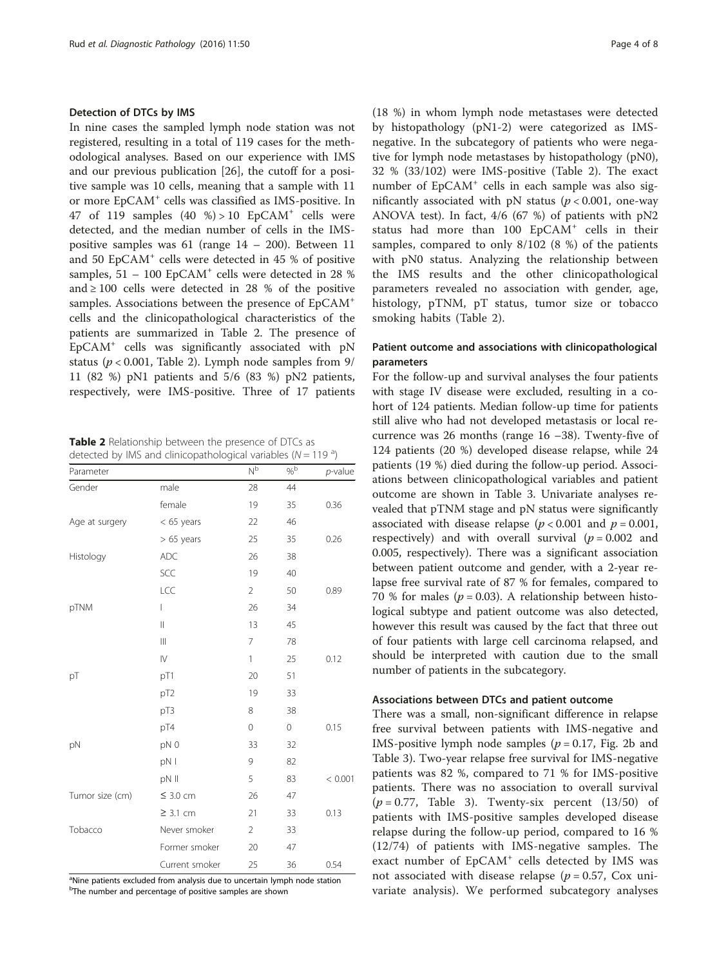## Detection of DTCs by IMS

In nine cases the sampled lymph node station was not registered, resulting in a total of 119 cases for the methodological analyses. Based on our experience with IMS and our previous publication [\[26\]](#page-7-0), the cutoff for a positive sample was 10 cells, meaning that a sample with 11 or more EpCAM<sup>+</sup> cells was classified as IMS-positive. In 47 of 119 samples  $(40 \%) > 10$  EpCAM<sup>+</sup> cells were detected, and the median number of cells in the IMSpositive samples was 61 (range 14 – 200). Between 11 and 50 EpCAM+ cells were detected in 45 % of positive samples,  $51 - 100$  EpCAM<sup>+</sup> cells were detected in 28 % and  $\geq 100$  cells were detected in 28 % of the positive samples. Associations between the presence of EpCAM<sup>+</sup> cells and the clinicopathological characteristics of the patients are summarized in Table 2. The presence of EpCAM+ cells was significantly associated with pN status ( $p < 0.001$ , Table 2). Lymph node samples from  $9/$ 11 (82 %) pN1 patients and 5/6 (83 %) pN2 patients, respectively, were IMS-positive. Three of 17 patients

Table 2 Relationship between the presence of DTCs as detected by IMS and clinicopathological variables ( $N = 119<sup>a</sup>$ )

| Parameter       |                                | N <sup>b</sup> | $% ^{b}$    | p-value |
|-----------------|--------------------------------|----------------|-------------|---------|
| Gender          | male                           | 28             | 44          |         |
|                 | female                         | 19             | 35          | 0.36    |
| Age at surgery  | $< 65$ years                   | 22             | 46          |         |
|                 | $> 65$ years                   | 25             | 35          | 0.26    |
| Histology       | ADC                            | 26             | 38          |         |
|                 | SCC                            | 19             | 40          |         |
|                 | LCC                            | $\overline{2}$ | 50          | 0.89    |
| pTNM            | $\begin{array}{c} \end{array}$ | 26             | 34          |         |
|                 | $\mathbf{  }$                  | 13             | 45          |         |
|                 | $\mathbb{H}$                   | 7              | 78          |         |
|                 | $\mathsf{IV}$                  | $\mathbf{1}$   | 25          | 0.12    |
| рT              | pT1                            | 20             | 51          |         |
|                 | pT2                            | 19             | 33          |         |
|                 | pT3                            | 8              | 38          |         |
|                 | pT4                            | $\mathbf 0$    | $\mathbf 0$ | 0.15    |
| pN              | pN 0                           | 33             | 32          |         |
|                 | pN                             | 9              | 82          |         |
|                 | pN II                          | 5              | 83          | < 0.001 |
| Tumor size (cm) | $\leq$ 3.0 cm                  | 26             | 47          |         |
|                 | $\geq$ 3.1 cm                  | 21             | 33          | 0.13    |
| Tobacco         | Never smoker                   | $\overline{2}$ | 33          |         |
|                 | Former smoker                  | 20             | 47          |         |
|                 | Current smoker                 | 25             | 36          | 0.54    |

<sup>a</sup>Nine patients excluded from analysis due to uncertain lymph node station <sup>b</sup>The number and percentage of positive samples are shown

(18 %) in whom lymph node metastases were detected by histopathology (pN1-2) were categorized as IMSnegative. In the subcategory of patients who were negative for lymph node metastases by histopathology (pN0), 32 % (33/102) were IMS-positive (Table 2). The exact number of EpCAM<sup>+</sup> cells in each sample was also significantly associated with pN status ( $p < 0.001$ , one-way ANOVA test). In fact, 4/6 (67 %) of patients with pN2 status had more than 100 EpCAM<sup>+</sup> cells in their samples, compared to only 8/102 (8 %) of the patients with pN0 status. Analyzing the relationship between the IMS results and the other clinicopathological parameters revealed no association with gender, age, histology, pTNM, pT status, tumor size or tobacco smoking habits (Table 2).

## Patient outcome and associations with clinicopathological parameters

For the follow-up and survival analyses the four patients with stage IV disease were excluded, resulting in a cohort of 124 patients. Median follow-up time for patients still alive who had not developed metastasis or local recurrence was 26 months (range 16 –38). Twenty-five of 124 patients (20 %) developed disease relapse, while 24 patients (19 %) died during the follow-up period. Associations between clinicopathological variables and patient outcome are shown in Table [3](#page-4-0). Univariate analyses revealed that pTNM stage and pN status were significantly associated with disease relapse ( $p < 0.001$  and  $p = 0.001$ , respectively) and with overall survival  $(p = 0.002$  and 0.005, respectively). There was a significant association between patient outcome and gender, with a 2-year relapse free survival rate of 87 % for females, compared to 70 % for males ( $p = 0.03$ ). A relationship between histological subtype and patient outcome was also detected, however this result was caused by the fact that three out of four patients with large cell carcinoma relapsed, and should be interpreted with caution due to the small number of patients in the subcategory.

## Associations between DTCs and patient outcome

There was a small, non-significant difference in relapse free survival between patients with IMS-negative and IMS-positive lymph node samples ( $p = 0.17$ , Fig. [2b](#page-4-0) and Table [3\)](#page-4-0). Two-year relapse free survival for IMS-negative patients was 82 %, compared to 71 % for IMS-positive patients. There was no association to overall survival  $(p = 0.77,$  Table [3](#page-4-0)). Twenty-six percent  $(13/50)$  of patients with IMS-positive samples developed disease relapse during the follow-up period, compared to 16 % (12/74) of patients with IMS-negative samples. The exact number of EpCAM<sup>+</sup> cells detected by IMS was not associated with disease relapse ( $p = 0.57$ , Cox univariate analysis). We performed subcategory analyses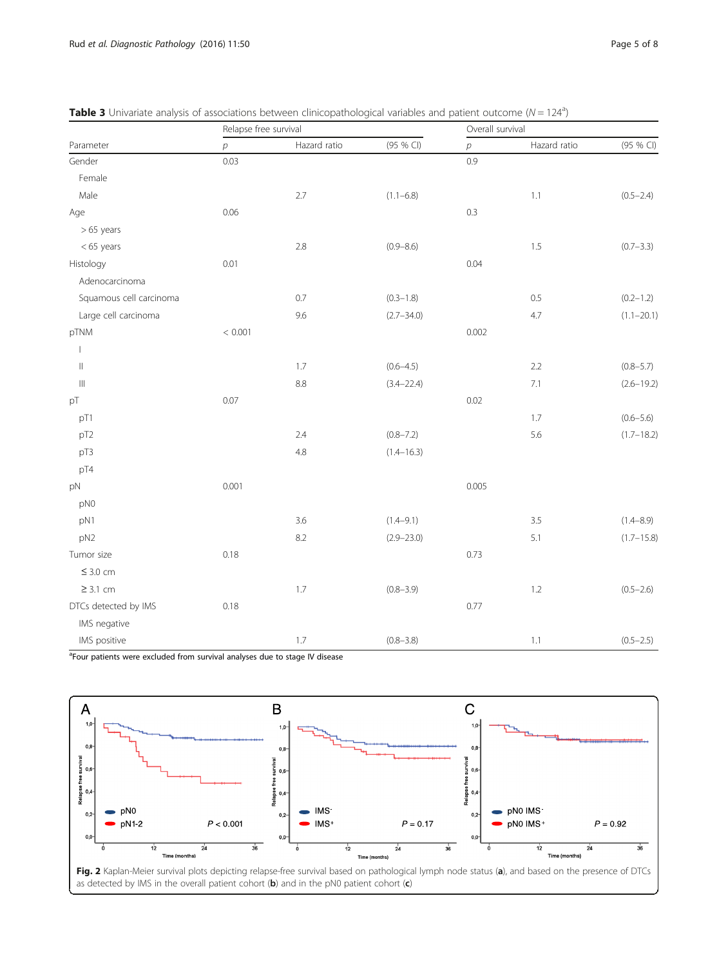| Parameter                            | Relapse free survival |              |                |        | Overall survival |                |  |
|--------------------------------------|-----------------------|--------------|----------------|--------|------------------|----------------|--|
|                                      | $\overline{p}$        | Hazard ratio | (95 % CI)      | $\rho$ | Hazard ratio     | (95 % CI)      |  |
| Gender                               | 0.03                  |              |                | 0.9    |                  |                |  |
| Female                               |                       |              |                |        |                  |                |  |
| Male                                 |                       | 2.7          | $(1.1 - 6.8)$  |        | $1.1\,$          | $(0.5 - 2.4)$  |  |
| Age                                  | 0.06                  |              |                | 0.3    |                  |                |  |
| $>65$ years                          |                       |              |                |        |                  |                |  |
| <65 years                            |                       | $2.8\,$      | $(0.9 - 8.6)$  |        | 1.5              | $(0.7 - 3.3)$  |  |
| Histology                            | 0.01                  |              |                | 0.04   |                  |                |  |
| Adenocarcinoma                       |                       |              |                |        |                  |                |  |
| Squamous cell carcinoma              |                       | 0.7          | $(0.3 - 1.8)$  |        | $0.5\,$          | $(0.2 - 1.2)$  |  |
| Large cell carcinoma                 |                       | 9.6          | $(2.7 - 34.0)$ |        | 4.7              | $(1.1 - 20.1)$ |  |
| pTNM                                 | < 0.001               |              |                | 0.002  |                  |                |  |
|                                      |                       |              |                |        |                  |                |  |
| $\vert\vert$                         |                       | 1.7          | $(0.6 - 4.5)$  |        | 2.2              | $(0.8 - 5.7)$  |  |
| $\left\vert \right\vert \right\vert$ |                       | 8.8          | $(3.4 - 22.4)$ |        | 7.1              | $(2.6 - 19.2)$ |  |
| pT                                   | 0.07                  |              |                | 0.02   |                  |                |  |
| pT1                                  |                       |              |                |        | 1.7              | $(0.6 - 5.6)$  |  |
| pT2                                  |                       | 2.4          | $(0.8 - 7.2)$  |        | 5.6              | $(1.7 - 18.2)$ |  |
| pT3                                  |                       | 4.8          | $(1.4 - 16.3)$ |        |                  |                |  |
| pT4                                  |                       |              |                |        |                  |                |  |
| pN                                   | 0.001                 |              |                | 0.005  |                  |                |  |
| pN0                                  |                       |              |                |        |                  |                |  |
| pN1                                  |                       | 3.6          | $(1.4 - 9.1)$  |        | 3.5              | $(1.4 - 8.9)$  |  |
| pN <sub>2</sub>                      |                       | 8.2          | $(2.9 - 23.0)$ |        | 5.1              | $(1.7 - 15.8)$ |  |
| Tumor size                           | 0.18                  |              |                | 0.73   |                  |                |  |
| $\leq$ 3.0 cm                        |                       |              |                |        |                  |                |  |
| $\geq$ 3.1 cm                        |                       | $1.7\,$      | $(0.8 - 3.9)$  |        | 1.2              | $(0.5 - 2.6)$  |  |
| DTCs detected by IMS                 | 0.18                  |              |                | 0.77   |                  |                |  |
| IMS negative                         |                       |              |                |        |                  |                |  |
| IMS positive                         |                       | 1.7          | $(0.8 - 3.8)$  |        | $1.1\,$          | $(0.5 - 2.5)$  |  |

<span id="page-4-0"></span>Table 3 Univariate analysis of associations between clinicopathological variables and patient outcome ( $N = 124^a$ )

<sup>a</sup>Four patients were excluded from survival analyses due to stage IV disease

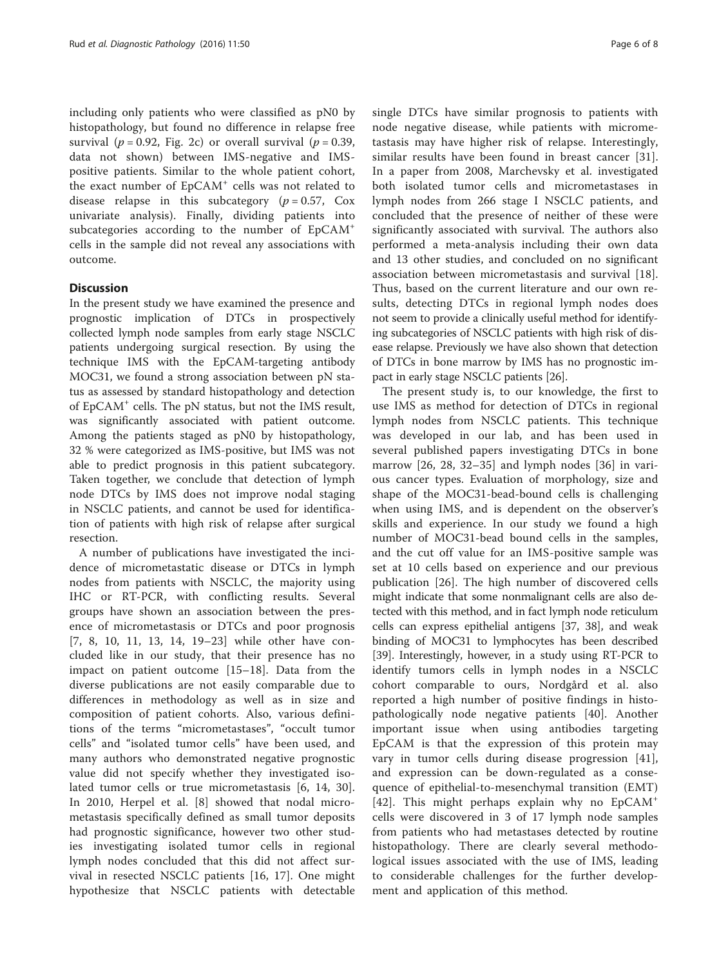including only patients who were classified as pN0 by histopathology, but found no difference in relapse free survival ( $p = 0.92$ , Fig. [2c\)](#page-4-0) or overall survival ( $p = 0.39$ , data not shown) between IMS-negative and IMSpositive patients. Similar to the whole patient cohort, the exact number of EpCAM<sup>+</sup> cells was not related to disease relapse in this subcategory  $(p = 0.57, \text{Cox})$ univariate analysis). Finally, dividing patients into subcategories according to the number of EpCAM<sup>+</sup> cells in the sample did not reveal any associations with outcome.

## **Discussion**

In the present study we have examined the presence and prognostic implication of DTCs in prospectively collected lymph node samples from early stage NSCLC patients undergoing surgical resection. By using the technique IMS with the EpCAM-targeting antibody MOC31, we found a strong association between pN status as assessed by standard histopathology and detection of EpCAM+ cells. The pN status, but not the IMS result, was significantly associated with patient outcome. Among the patients staged as pN0 by histopathology, 32 % were categorized as IMS-positive, but IMS was not able to predict prognosis in this patient subcategory. Taken together, we conclude that detection of lymph node DTCs by IMS does not improve nodal staging in NSCLC patients, and cannot be used for identification of patients with high risk of relapse after surgical resection.

A number of publications have investigated the incidence of micrometastatic disease or DTCs in lymph nodes from patients with NSCLC, the majority using IHC or RT-PCR, with conflicting results. Several groups have shown an association between the presence of micrometastasis or DTCs and poor prognosis [[7, 8, 10, 11](#page-6-0), [13](#page-6-0), [14](#page-6-0), [19](#page-7-0)–[23\]](#page-7-0) while other have concluded like in our study, that their presence has no impact on patient outcome [\[15](#page-6-0)–[18](#page-7-0)]. Data from the diverse publications are not easily comparable due to differences in methodology as well as in size and composition of patient cohorts. Also, various definitions of the terms "micrometastases", "occult tumor cells" and "isolated tumor cells" have been used, and many authors who demonstrated negative prognostic value did not specify whether they investigated isolated tumor cells or true micrometastasis [[6](#page-6-0), [14](#page-6-0), [30](#page-7-0)]. In 2010, Herpel et al. [[8\]](#page-6-0) showed that nodal micrometastasis specifically defined as small tumor deposits had prognostic significance, however two other studies investigating isolated tumor cells in regional lymph nodes concluded that this did not affect survival in resected NSCLC patients [[16, 17](#page-6-0)]. One might hypothesize that NSCLC patients with detectable single DTCs have similar prognosis to patients with node negative disease, while patients with micrometastasis may have higher risk of relapse. Interestingly, similar results have been found in breast cancer [\[31](#page-7-0)]. In a paper from 2008, Marchevsky et al. investigated both isolated tumor cells and micrometastases in lymph nodes from 266 stage I NSCLC patients, and concluded that the presence of neither of these were significantly associated with survival. The authors also performed a meta-analysis including their own data and 13 other studies, and concluded on no significant association between micrometastasis and survival [\[18](#page-7-0)]. Thus, based on the current literature and our own results, detecting DTCs in regional lymph nodes does not seem to provide a clinically useful method for identifying subcategories of NSCLC patients with high risk of disease relapse. Previously we have also shown that detection of DTCs in bone marrow by IMS has no prognostic impact in early stage NSCLC patients [[26](#page-7-0)].

The present study is, to our knowledge, the first to use IMS as method for detection of DTCs in regional lymph nodes from NSCLC patients. This technique was developed in our lab, and has been used in several published papers investigating DTCs in bone marrow [\[26](#page-7-0), [28](#page-7-0), [32](#page-7-0)–[35\]](#page-7-0) and lymph nodes [\[36](#page-7-0)] in various cancer types. Evaluation of morphology, size and shape of the MOC31-bead-bound cells is challenging when using IMS, and is dependent on the observer's skills and experience. In our study we found a high number of MOC31-bead bound cells in the samples, and the cut off value for an IMS-positive sample was set at 10 cells based on experience and our previous publication [\[26](#page-7-0)]. The high number of discovered cells might indicate that some nonmalignant cells are also detected with this method, and in fact lymph node reticulum cells can express epithelial antigens [\[37, 38\]](#page-7-0), and weak binding of MOC31 to lymphocytes has been described [[39](#page-7-0)]. Interestingly, however, in a study using RT-PCR to identify tumors cells in lymph nodes in a NSCLC cohort comparable to ours, Nordgård et al. also reported a high number of positive findings in histopathologically node negative patients [\[40](#page-7-0)]. Another important issue when using antibodies targeting EpCAM is that the expression of this protein may vary in tumor cells during disease progression [\[41](#page-7-0)], and expression can be down-regulated as a consequence of epithelial-to-mesenchymal transition (EMT) [[42](#page-7-0)]. This might perhaps explain why no  $EpCAM^+$ cells were discovered in 3 of 17 lymph node samples from patients who had metastases detected by routine histopathology. There are clearly several methodological issues associated with the use of IMS, leading to considerable challenges for the further development and application of this method.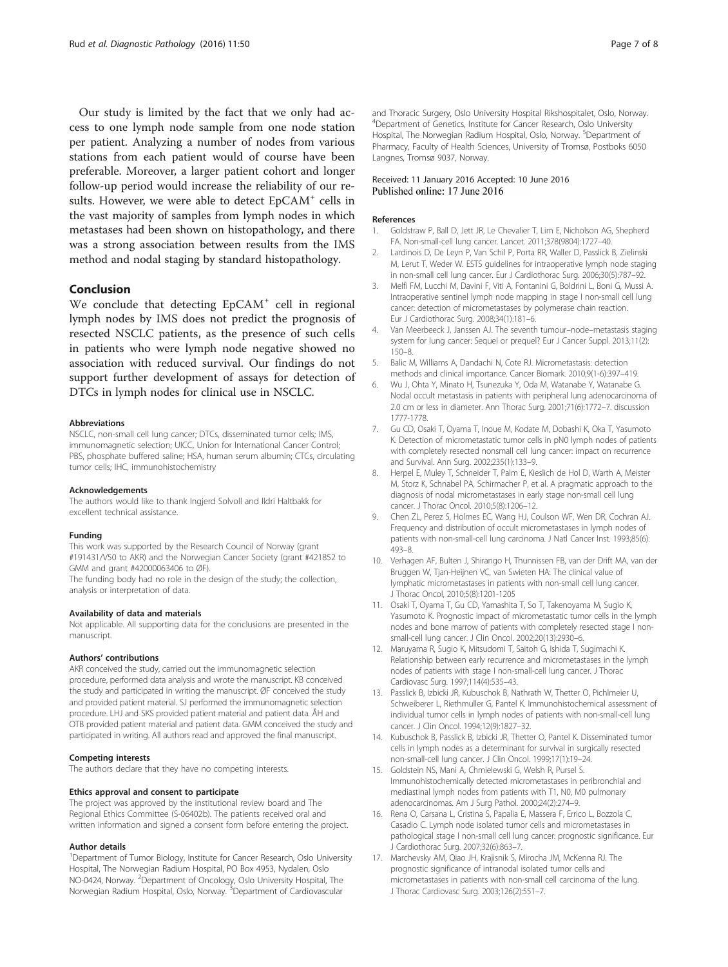<span id="page-6-0"></span>Our study is limited by the fact that we only had access to one lymph node sample from one node station per patient. Analyzing a number of nodes from various stations from each patient would of course have been preferable. Moreover, a larger patient cohort and longer follow-up period would increase the reliability of our results. However, we were able to detect EpCAM<sup>+</sup> cells in the vast majority of samples from lymph nodes in which metastases had been shown on histopathology, and there was a strong association between results from the IMS method and nodal staging by standard histopathology.

## Conclusion

We conclude that detecting EpCAM<sup>+</sup> cell in regional lymph nodes by IMS does not predict the prognosis of resected NSCLC patients, as the presence of such cells in patients who were lymph node negative showed no association with reduced survival. Our findings do not support further development of assays for detection of DTCs in lymph nodes for clinical use in NSCLC.

#### Abbreviations

NSCLC, non-small cell lung cancer; DTCs, disseminated tumor cells; IMS, immunomagnetic selection; UICC, Union for International Cancer Control; PBS, phosphate buffered saline; HSA, human serum albumin; CTCs, circulating tumor cells; IHC, immunohistochemistry

#### Acknowledgements

The authors would like to thank Ingjerd Solvoll and Ildri Haltbakk for excellent technical assistance.

#### Funding

This work was supported by the Research Council of Norway (grant #191431/V50 to AKR) and the Norwegian Cancer Society (grant #421852 to GMM and grant #42000063406 to ØF). The funding body had no role in the design of the study; the collection, analysis or interpretation of data.

#### Availability of data and materials

Not applicable. All supporting data for the conclusions are presented in the manuscript.

#### Authors' contributions

AKR conceived the study, carried out the immunomagnetic selection procedure, performed data analysis and wrote the manuscript. KB conceived the study and participated in writing the manuscript. ØF conceived the study and provided patient material. SJ performed the immunomagnetic selection procedure. LHJ and SKS provided patient material and patient data. ÅH and OTB provided patient material and patient data. GMM conceived the study and participated in writing. All authors read and approved the final manuscript.

#### Competing interests

The authors declare that they have no competing interests.

#### Ethics approval and consent to participate

The project was approved by the institutional review board and The Regional Ethics Committee (S-06402b). The patients received oral and written information and signed a consent form before entering the project.

#### Author details

<sup>1</sup>Department of Tumor Biology, Institute for Cancer Research, Oslo University Hospital, The Norwegian Radium Hospital, PO Box 4953, Nydalen, Oslo NO-0424, Norway. <sup>2</sup>Department of Oncology, Oslo University Hospital, The Norwegian Radium Hospital, Oslo, Norway. <sup>3</sup>Department of Cardiovascular

and Thoracic Surgery, Oslo University Hospital Rikshospitalet, Oslo, Norway. 4 Department of Genetics, Institute for Cancer Research, Oslo University Hospital, The Norwegian Radium Hospital, Oslo, Norway. <sup>5</sup>Department of Pharmacy, Faculty of Health Sciences, University of Tromsø, Postboks 6050 Langnes, Tromsø 9037, Norway.

#### Received: 11 January 2016 Accepted: 10 June 2016 Published online: 17 June 2016

#### References

- 1. Goldstraw P, Ball D, Jett JR, Le Chevalier T, Lim E, Nicholson AG, Shepherd FA. Non-small-cell lung cancer. Lancet. 2011;378(9804):1727–40.
- 2. Lardinois D, De Leyn P, Van Schil P, Porta RR, Waller D, Passlick B, Zielinski M, Lerut T, Weder W. ESTS guidelines for intraoperative lymph node staging in non-small cell lung cancer. Eur J Cardiothorac Surg. 2006;30(5):787–92.
- 3. Melfi FM, Lucchi M, Davini F, Viti A, Fontanini G, Boldrini L, Boni G, Mussi A. Intraoperative sentinel lymph node mapping in stage I non-small cell lung cancer: detection of micrometastases by polymerase chain reaction. Eur J Cardiothorac Surg. 2008;34(1):181–6.
- 4. Van Meerbeeck J, Janssen AJ. The seventh tumour–node–metastasis staging system for lung cancer: Sequel or prequel? Eur J Cancer Suppl. 2013;11(2): 150–8.
- 5. Balic M, Williams A, Dandachi N, Cote RJ. Micrometastasis: detection methods and clinical importance. Cancer Biomark. 2010;9(1-6):397–419.
- 6. Wu J, Ohta Y, Minato H, Tsunezuka Y, Oda M, Watanabe Y, Watanabe G. Nodal occult metastasis in patients with peripheral lung adenocarcinoma of 2.0 cm or less in diameter. Ann Thorac Surg. 2001;71(6):1772–7. discussion 1777-1778.
- 7. Gu CD, Osaki T, Oyama T, Inoue M, Kodate M, Dobashi K, Oka T, Yasumoto K. Detection of micrometastatic tumor cells in pN0 lymph nodes of patients with completely resected nonsmall cell lung cancer: impact on recurrence and Survival. Ann Surg. 2002;235(1):133–9.
- 8. Herpel E, Muley T, Schneider T, Palm E, Kieslich de Hol D, Warth A, Meister M, Storz K, Schnabel PA, Schirmacher P, et al. A pragmatic approach to the diagnosis of nodal micrometastases in early stage non-small cell lung cancer. J Thorac Oncol. 2010;5(8):1206–12.
- 9. Chen ZL, Perez S, Holmes EC, Wang HJ, Coulson WF, Wen DR, Cochran AJ. Frequency and distribution of occult micrometastases in lymph nodes of patients with non-small-cell lung carcinoma. J Natl Cancer Inst. 1993;85(6): 493–8.
- 10. Verhagen AF, Bulten J, Shirango H, Thunnissen FB, van der Drift MA, van der Bruggen W, Tjan-Heijnen VC, van Swieten HA: The clinical value of lymphatic micrometastases in patients with non-small cell lung cancer. J Thorac Oncol, 2010;5(8):1201-1205
- 11. Osaki T, Oyama T, Gu CD, Yamashita T, So T, Takenoyama M, Sugio K, Yasumoto K. Prognostic impact of micrometastatic tumor cells in the lymph nodes and bone marrow of patients with completely resected stage I nonsmall-cell lung cancer. J Clin Oncol. 2002;20(13):2930–6.
- 12. Maruyama R, Sugio K, Mitsudomi T, Saitoh G, Ishida T, Sugimachi K. Relationship between early recurrence and micrometastases in the lymph nodes of patients with stage I non-small-cell lung cancer. J Thorac Cardiovasc Surg. 1997;114(4):535–43.
- 13. Passlick B, Izbicki JR, Kubuschok B, Nathrath W, Thetter O, Pichlmeier U, Schweiberer L, Riethmuller G, Pantel K. Immunohistochemical assessment of individual tumor cells in lymph nodes of patients with non-small-cell lung cancer. J Clin Oncol. 1994;12(9):1827–32.
- 14. Kubuschok B, Passlick B, Izbicki JR, Thetter O, Pantel K. Disseminated tumor cells in lymph nodes as a determinant for survival in surgically resected non-small-cell lung cancer. J Clin Oncol. 1999;17(1):19–24.
- 15. Goldstein NS, Mani A, Chmielewski G, Welsh R, Pursel S. Immunohistochemically detected micrometastases in peribronchial and mediastinal lymph nodes from patients with T1, N0, M0 pulmonary adenocarcinomas. Am J Surg Pathol. 2000;24(2):274–9.
- 16. Rena O, Carsana L, Cristina S, Papalia E, Massera F, Errico L, Bozzola C, Casadio C. Lymph node isolated tumor cells and micrometastases in pathological stage I non-small cell lung cancer: prognostic significance. Eur J Cardiothorac Surg. 2007;32(6):863–7.
- 17. Marchevsky AM, Qiao JH, Krajisnik S, Mirocha JM, McKenna RJ. The prognostic significance of intranodal isolated tumor cells and micrometastases in patients with non-small cell carcinoma of the lung. J Thorac Cardiovasc Surg. 2003;126(2):551–7.